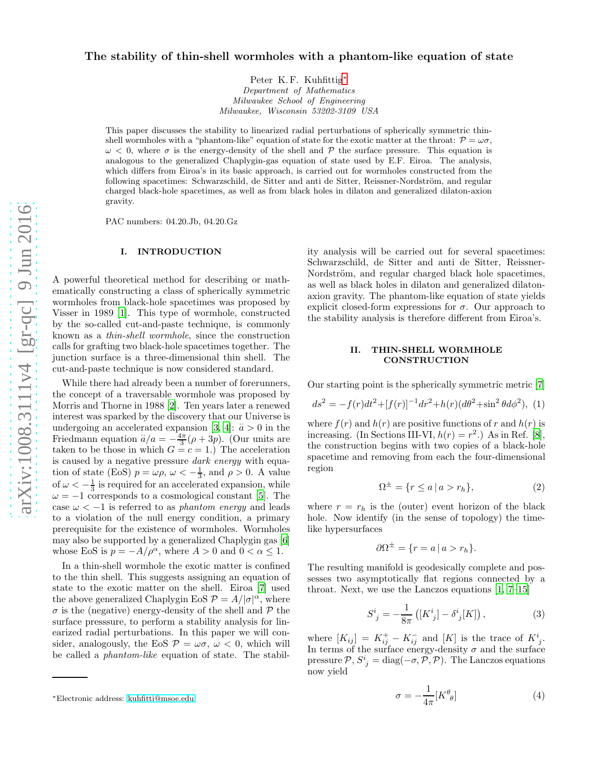# The stability of thin-shell wormholes with a phantom-like equation of state

Peter K.F. Kuhfittig<sup>\*</sup> Department of Mathematics Milwaukee School of Engineering Milwaukee, Wisconsin 53202-3109 USA

This paper discusses the stability to linearized radial perturbations of spherically symmetric thinshell wormholes with a "phantom-like" equation of state for the exotic matter at the throat:  $\mathcal{P} = \omega \sigma$ ,  $\omega$  < 0, where  $\sigma$  is the energy-density of the shell and  $\mathcal P$  the surface pressure. This equation is analogous to the generalized Chaplygin-gas equation of state used by E.F. Eiroa. The analysis, which differs from Eiroa's in its basic approach, is carried out for wormholes constructed from the following spacetimes: Schwarzschild, de Sitter and anti de Sitter, Reissner-Nordström, and regular charged black-hole spacetimes, as well as from black holes in dilaton and generalized dilaton-axion gravity.

PAC numbers: 04.20.Jb, 04.20.Gz

# I. INTRODUCTION

A powerful theoretical method for describing or mathematically constructing a class of spherically symmetric wormholes from black-hole spacetimes was proposed by Visser in 1989 [\[1\]](#page-5-0). This type of wormhole, constructed by the so-called cut-and-paste technique, is commonly known as a thin-shell wormhole, since the construction calls for grafting two black-hole spacetimes together. The junction surface is a three-dimensional thin shell. The cut-and-paste technique is now considered standard.

While there had already been a number of forerunners, the concept of a traversable wormhole was proposed by Morris and Thorne in 1988 [\[2\]](#page-5-1). Ten years later a renewed interest was sparked by the discovery that our Universe is undergoing an accelerated expansion [\[3](#page-5-2), [4](#page-5-3)]:  $\ddot{a} > 0$  in the Friedmann equation  $\ddot{a}/a = -\frac{4\pi}{3}(\rho + 3p)$ . (Our units are taken to be those in which  $G = c = 1$ .) The acceleration is caused by a negative pressure dark energy with equation of state (EoS)  $p = \omega \rho$ ,  $\omega < -\frac{1}{3}$ , and  $\rho > 0$ . A value of  $\omega < -\frac{1}{3}$  is required for an accelerated expansion, while  $\omega = -1$  corresponds to a cosmological constant [\[5\]](#page-5-4). The case  $\omega < -1$  is referred to as *phantom energy* and leads to a violation of the null energy condition, a primary prerequisite for the existence of wormholes. Wormholes may also be supported by a generalized Chaplygin gas [\[6](#page-5-5)] whose EoS is  $p = -A/\rho^{\alpha}$ , where  $A > 0$  and  $0 < \alpha \leq 1$ .

In a thin-shell wormhole the exotic matter is confined to the thin shell. This suggests assigning an equation of state to the exotic matter on the shell. Eiroa [\[7\]](#page-5-6) used the above generalized Chaplygin EoS  $P = A/|\sigma|^{\alpha}$ , where  $\sigma$  is the (negative) energy-density of the shell and  $\mathcal P$  the surface presssure, to perform a stability analysis for linearized radial perturbations. In this paper we will consider, analogously, the EoS  $P = \omega \sigma$ ,  $\omega < 0$ , which will be called a phantom-like equation of state. The stability analysis will be carried out for several spacetimes: Schwarzschild, de Sitter and anti de Sitter, Reissner-Nordström, and regular charged black hole spacetimes, as well as black holes in dilaton and generalized dilatonaxion gravity. The phantom-like equation of state yields explicit closed-form expressions for  $\sigma$ . Our approach to the stability analysis is therefore different from Eiroa's.

### II. THIN-SHELL WORMHOLE CONSTRUCTION

Our starting point is the spherically symmetric metric [\[7](#page-5-6)]

<span id="page-0-1"></span>
$$
ds^{2} = -f(r)dt^{2} + [f(r)]^{-1}dr^{2} + h(r)(d\theta^{2} + \sin^{2}\theta d\phi^{2}),
$$
 (1)

where  $f(r)$  and  $h(r)$  are positive functions of r and  $h(r)$  is increasing. (In Sections III-VI,  $h(r) = r^2$ .) As in Ref. [\[8\]](#page-6-0), the construction begins with two copies of a black-hole spacetime and removing from each the four-dimensional region

$$
\Omega^{\pm} = \{ r \le a \mid a > r_h \},\tag{2}
$$

where  $r = r_h$  is the (outer) event horizon of the black hole. Now identify (in the sense of topology) the timelike hypersurfaces

$$
\partial \Omega^{\pm} = \{ r = a \, | \, a > r_h \}.
$$

The resulting manifold is geodesically complete and possesses two asymptotically flat regions connected by a throat. Next, we use the Lanczos equations [\[1,](#page-5-0) [7](#page-5-6)[–15\]](#page-6-1)

$$
S^{i}_{\;j} = -\frac{1}{8\pi} \left( [K^{i}_{\;j}] - \delta^{i}_{\;j}[K] \right), \tag{3}
$$

where  $[K_{ij}] = K_{ij}^+ - K_{ij}^-$  and  $[K]$  is the trace of  $K^i_{j}$ . In terms of the surface energy-density  $\sigma$  and the surface pressure  $P$ ,  $S^i_{\;j} = \text{diag}(-\sigma, \mathcal{P}, \mathcal{P})$ . The Lanczos equations now yield

$$
\sigma = -\frac{1}{4\pi} [K^{\theta}_{\ \theta}] \tag{4}
$$

<span id="page-0-0"></span><sup>∗</sup>Electronic address: [kuhfitti@msoe.edu](mailto:kuhfitti@msoe.edu)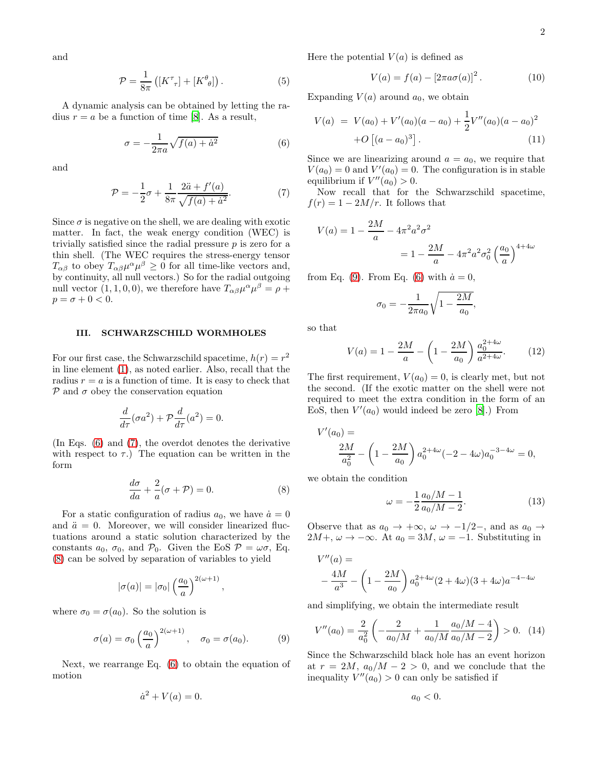and

$$
\mathcal{P} = \frac{1}{8\pi} \left( \left[ K^{\tau}_{\ \tau} \right] + \left[ K^{\theta}_{\ \theta} \right] \right). \tag{5}
$$

A dynamic analysis can be obtained by letting the radius  $r = a$  be a function of time [\[8](#page-6-0)]. As a result,

<span id="page-1-0"></span>
$$
\sigma = -\frac{1}{2\pi a} \sqrt{f(a) + \dot{a}^2} \tag{6}
$$

and

<span id="page-1-1"></span>
$$
\mathcal{P} = -\frac{1}{2}\sigma + \frac{1}{8\pi} \frac{2\ddot{a} + f'(a)}{\sqrt{f(a) + \dot{a}^2}}.
$$
 (7)

Since  $\sigma$  is negative on the shell, we are dealing with exotic matter. In fact, the weak energy condition (WEC) is trivially satisfied since the radial pressure  $p$  is zero for a thin shell. (The WEC requires the stress-energy tensor  $T_{\alpha\beta}$  to obey  $T_{\alpha\beta}\mu^{\alpha}\mu^{\beta} \geq 0$  for all time-like vectors and, by continuity, all null vectors.) So for the radial outgoing null vector  $(1, 1, 0, 0)$ , we therefore have  $T_{\alpha\beta}\mu^{\alpha}\mu^{\beta} = \rho + \frac{1}{2}T_{\alpha\beta}\mu^{\alpha}\mu^{\beta}$  $p = \sigma + 0 < 0.$ 

#### <span id="page-1-4"></span>III. SCHWARZSCHILD WORMHOLES

For our first case, the Schwarzschild spacetime,  $h(r) = r^2$ in line element [\(1\)](#page-0-1), as noted earlier. Also, recall that the radius  $r = a$  is a function of time. It is easy to check that  $P$  and  $\sigma$  obey the conservation equation

$$
\frac{d}{d\tau}(\sigma a^2) + \mathcal{P}\frac{d}{d\tau}(a^2) = 0.
$$

(In Eqs. [\(6\)](#page-1-0) and [\(7\)](#page-1-1), the overdot denotes the derivative with respect to  $\tau$ .) The equation can be written in the form

<span id="page-1-2"></span>
$$
\frac{d\sigma}{da} + \frac{2}{a}(\sigma + \mathcal{P}) = 0.
$$
 (8)

,

For a static configuration of radius  $a_0$ , we have  $\dot{a}=0$ and  $\ddot{a} = 0$ . Moreover, we will consider linearized fluctuations around a static solution characterized by the constants  $a_0$ ,  $\sigma_0$ , and  $\mathcal{P}_0$ . Given the EoS  $\mathcal{P} = \omega \sigma$ , Eq. [\(8\)](#page-1-2) can be solved by separation of variables to yield

$$
|\sigma(a)|=|\sigma_0|\left(\frac{a_0}{a}\right)^{2(\omega+1)}
$$

where  $\sigma_0 = \sigma(a_0)$ . So the solution is

<span id="page-1-3"></span>
$$
\sigma(a) = \sigma_0 \left(\frac{a_0}{a}\right)^{2(\omega+1)}, \quad \sigma_0 = \sigma(a_0). \tag{9}
$$

Next, we rearrange Eq. [\(6\)](#page-1-0) to obtain the equation of motion

$$
\dot{a}^2 + V(a) = 0.
$$

Here the potential  $V(a)$  is defined as

$$
V(a) = f(a) - [2\pi a\sigma(a)]^2.
$$
 (10)

Expanding  $V(a)$  around  $a_0$ , we obtain

$$
V(a) = V(a_0) + V'(a_0)(a - a_0) + \frac{1}{2}V''(a_0)(a - a_0)^2
$$
  
+ $O [(a - a_0)^3].$  (11)

Since we are linearizing around  $a = a_0$ , we require that  $V(a_0) = 0$  and  $V'(a_0) = 0$ . The configuration is in stable equilibrium if  $V''(a_0) > 0$ .

Now recall that for the Schwarzschild spacetime,  $f(r) = 1 - 2M/r$ . It follows that

$$
V(a) = 1 - \frac{2M}{a} - 4\pi^2 a^2 \sigma^2
$$
  
=  $1 - \frac{2M}{a} - 4\pi^2 a^2 \sigma_0^2 \left(\frac{a_0}{a}\right)^{4+4\omega}$ 

from Eq. [\(9\)](#page-1-3). From Eq. [\(6\)](#page-1-0) with  $\dot{a}=0$ ,

$$
\sigma_0 = -\frac{1}{2\pi a_0} \sqrt{1 - \frac{2M}{a_0}},
$$

so that

$$
V(a) = 1 - \frac{2M}{a} - \left(1 - \frac{2M}{a_0}\right) \frac{a_0^{2+4\omega}}{a^{2+4\omega}}.\tag{12}
$$

The first requirement,  $V(a_0) = 0$ , is clearly met, but not the second. (If the exotic matter on the shell were not required to meet the extra condition in the form of an EoS, then  $V'(a_0)$  would indeed be zero [\[8\]](#page-6-0).) From

$$
V'(a_0) =
$$
  

$$
\frac{2M}{a_0^2} - \left(1 - \frac{2M}{a_0}\right) a_0^{2+4\omega} (-2 - 4\omega) a_0^{-3-4\omega} = 0,
$$

we obtain the condition

$$
\omega = -\frac{1}{2} \frac{a_0/M - 1}{a_0/M - 2}.
$$
\n(13)

Observe that as  $a_0 \to +\infty$ ,  $\omega \to -1/2$ –, and as  $a_0 \to$  $2M +$ ,  $\omega \rightarrow -\infty$ . At  $a_0 = 3M$ ,  $\omega = -1$ . Substituting in

$$
V''(a) =
$$
  

$$
-\frac{4M}{a^3} - \left(1 - \frac{2M}{a_0}\right) a_0^{2+4\omega} (2+4\omega)(3+4\omega)a^{-4-4\omega}
$$

and simplifying, we obtain the intermediate result

$$
V''(a_0) = \frac{2}{a_0^2} \left( -\frac{2}{a_0/M} + \frac{1}{a_0/M} \frac{a_0/M - 4}{a_0/M - 2} \right) > 0. \tag{14}
$$

Since the Schwarzschild black hole has an event horizon at  $r = 2M$ ,  $a_0/M - 2 > 0$ , and we conclude that the inequality  $V''(a_0) > 0$  can only be satisfied if

$$
a_0<0.
$$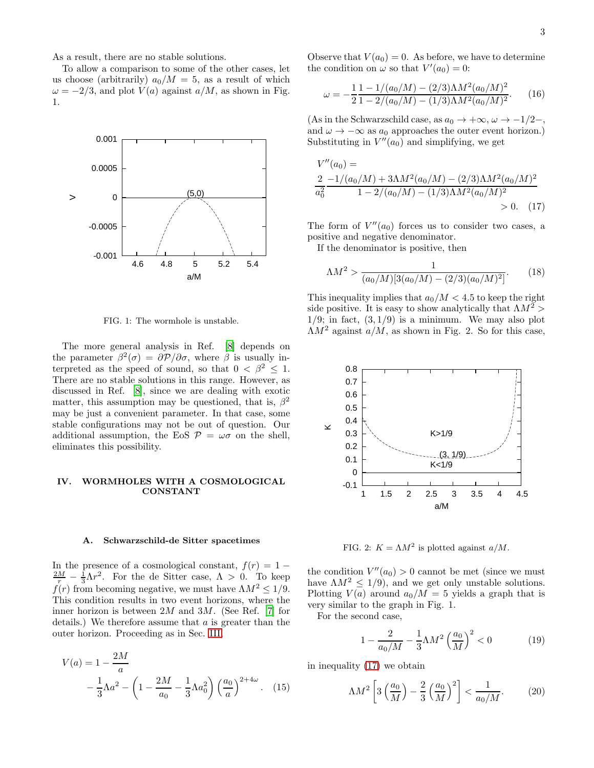As a result, there are no stable solutions.

To allow a comparison to some of the other cases, let us choose (arbitrarily)  $a_0/M = 5$ , as a result of which  $\omega = -2/3$ , and plot  $V(a)$  against  $a/M$ , as shown in Fig. 1.



FIG. 1: The wormhole is unstable.

The more general analysis in Ref. [\[8\]](#page-6-0) depends on the parameter  $\beta^2(\sigma) = \partial \mathcal{P}/\partial \sigma$ , where  $\beta$  is usually interpreted as the speed of sound, so that  $0 < \beta^2 \leq 1$ . There are no stable solutions in this range. However, as discussed in Ref. [\[8\]](#page-6-0), since we are dealing with exotic matter, this assumption may be questioned, that is,  $\beta^2$ may be just a convenient parameter. In that case, some stable configurations may not be out of question. Our additional assumption, the EoS  $P = \omega \sigma$  on the shell, eliminates this possibility.

### IV. WORMHOLES WITH A COSMOLOGICAL CONSTANT

#### A. Schwarzschild-de Sitter spacetimes

In the presence of a cosmological constant,  $f(r) = 1 \frac{2M}{r} - \frac{1}{3}\Lambda r^2$ . For the de Sitter case,  $\Lambda > 0$ . To keep  $f(r)$  from becoming negative, we must have  $\Lambda M^2 \leq 1/9$ . This condition results in two event horizons, where the inner horizon is between  $2M$  and  $3M$ . (See Ref. [\[7\]](#page-5-6) for details.) We therefore assume that a is greater than the outer horizon. Proceeding as in Sec. [III,](#page-1-4)

$$
V(a) = 1 - \frac{2M}{a}
$$
  
 
$$
- \frac{1}{3}\Lambda a^2 - \left(1 - \frac{2M}{a_0} - \frac{1}{3}\Lambda a_0^2\right) \left(\frac{a_0}{a}\right)^{2+4\omega}.
$$
 (15)

Observe that  $V(a_0) = 0$ . As before, we have to determine the condition on  $\omega$  so that  $V'(a_0) = 0$ :

$$
\omega = -\frac{1}{2} \frac{1 - 1/(a_0/M) - (2/3)\Lambda M^2 (a_0/M)^2}{1 - 2/(a_0/M) - (1/3)\Lambda M^2 (a_0/M)^2}.
$$
 (16)

(As in the Schwarzschild case, as  $a_0 \to +\infty$ ,  $\omega \to -1/2$ –, and  $\omega \to -\infty$  as  $a_0$  approaches the outer event horizon.) Substituting in  $V''(a_0)$  and simplifying, we get

$$
V''(a_0) =
$$
  
\n
$$
\frac{2}{a_0^2} - \frac{1/(a_0/M) + 3\Lambda M^2(a_0/M) - (2/3)\Lambda M^2(a_0/M)^2}{1 - 2/(a_0/M) - (1/3)\Lambda M^2(a_0/M)^2}
$$
  
\n>0. (17)

The form of  $V''(a_0)$  forces us to consider two cases, a positive and negative denominator.

If the denominator is positive, then

<span id="page-2-0"></span>
$$
\Lambda M^2 > \frac{1}{(a_0/M)[3(a_0/M) - (2/3)(a_0/M)^2]}.\tag{18}
$$

This inequality implies that  $a_0/M < 4.5$  to keep the right side positive. It is easy to show analytically that  $\Lambda M^2$  $1/9$ ; in fact,  $(3, 1/9)$  is a minimum. We may also plot  $\Lambda M^2$  against  $a/M$ , as shown in Fig. 2. So for this case,



FIG. 2:  $K = \Lambda M^2$  is plotted against  $a/M$ .

the condition  $V''(a_0) > 0$  cannot be met (since we must have  $\Lambda M^2 \leq 1/9$ , and we get only unstable solutions. Plotting  $V(a)$  around  $a_0/M = 5$  yields a graph that is very similar to the graph in Fig. 1.

For the second case,

$$
1 - \frac{2}{a_0/M} - \frac{1}{3}\Lambda M^2 \left(\frac{a_0}{M}\right)^2 < 0\tag{19}
$$

in inequality [\(17\)](#page-2-0) we obtain

$$
\Lambda M^2 \left[ 3 \left( \frac{a_0}{M} \right) - \frac{2}{3} \left( \frac{a_0}{M} \right)^2 \right] < \frac{1}{a_0/M}.\tag{20}
$$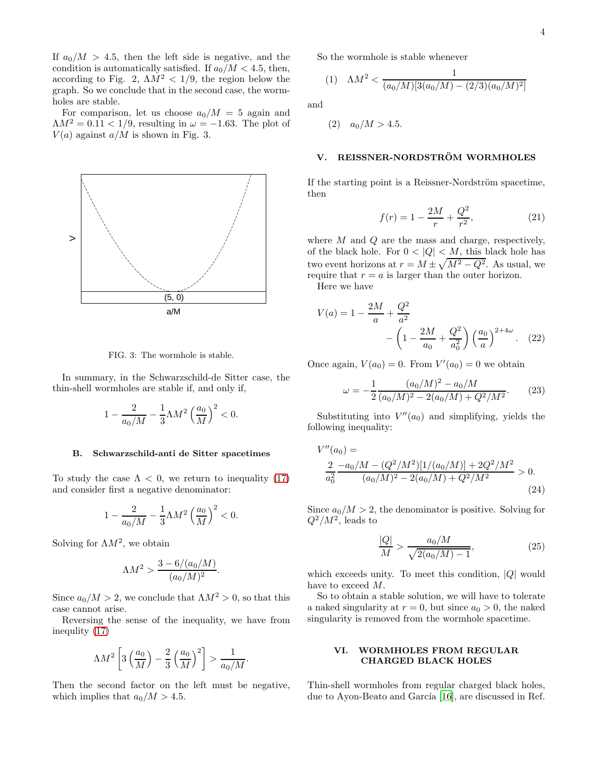If  $a_0/M > 4.5$ , then the left side is negative, and the condition is automatically satisfied. If  $a_0/M < 4.5$ , then, according to Fig. 2,  $\Lambda M^2 < 1/9$ , the region below the graph. So we conclude that in the second case, the wormholes are stable.

For comparison, let us choose  $a_0/M = 5$  again and  $\Lambda M^2 = 0.11 < 1/9$ , resulting in  $\omega = -1.63$ . The plot of  $V(a)$  against  $a/M$  is shown in Fig. 3.



FIG. 3: The wormhole is stable.

In summary, in the Schwarzschild-de Sitter case, the thin-shell wormholes are stable if, and only if,

$$
1-\frac{2}{a_0/M}-\frac{1}{3}\Lambda M^2\left(\frac{a_0}{M}\right)^2<0.
$$

#### B. Schwarzschild-anti de Sitter spacetimes

To study the case  $\Lambda < 0$ , we return to inequality [\(17\)](#page-2-0) and consider first a negative denominator:

$$
1 - \frac{2}{a_0/M} - \frac{1}{3}\Lambda M^2 \left(\frac{a_0}{M}\right)^2 < 0.
$$

Solving for  $\Lambda M^2$ , we obtain

$$
\Lambda M^2 > \frac{3-6/(a_0/M)}{(a_0/M)^2}
$$

.

Since  $a_0/M > 2$ , we conclude that  $\Lambda M^2 > 0$ , so that this case cannot arise.

Reversing the sense of the inequality, we have from inequlity [\(17\)](#page-2-0)

$$
\Lambda M^2 \left[3\left(\frac{a_0}{M}\right) - \frac{2}{3}\left(\frac{a_0}{M}\right)^2\right] > \frac{1}{a_0/M}.
$$

Then the second factor on the left must be negative, which implies that  $a_0/M > 4.5$ .

So the wormhole is stable whenever

(1) 
$$
\Lambda M^2 < \frac{1}{(a_0/M)[3(a_0/M) - (2/3)(a_0/M)^2]}
$$

and

$$
(2)
$$
  $a_0/M > 4.5$ .

## V. REISSNER-NORDSTRÖM WORMHOLES

If the starting point is a Reissner-Nordström spacetime, then

$$
f(r) = 1 - \frac{2M}{r} + \frac{Q^2}{r^2},
$$
\n(21)

where  $M$  and  $Q$  are the mass and charge, respectively, of the black hole. For  $0 < |Q| < M$ , this black hole has two event horizons at  $r = M \pm \sqrt{M^2 - Q^2}$ . As usual, we require that  $r = a$  is larger than the outer horizon.

Here we have

$$
V(a) = 1 - \frac{2M}{a} + \frac{Q^2}{a^2} - \left(1 - \frac{2M}{a_0} + \frac{Q^2}{a_0^2}\right) \left(\frac{a_0}{a}\right)^{2+4\omega}.
$$
 (22)

Once again,  $V(a_0) = 0$ . From  $V'(a_0) = 0$  we obtain

$$
\omega = -\frac{1}{2} \frac{(a_0/M)^2 - a_0/M}{(a_0/M)^2 - 2(a_0/M) + Q^2/M^2}.
$$
 (23)

Substituting into  $V''(a_0)$  and simplifying, yields the following inequality:

$$
V''(a_0) =
$$
  
\n
$$
\frac{2}{a_0^2} \frac{-a_0/M - (Q^2/M^2)[1/(a_0/M)] + 2Q^2/M^2}{(a_0/M)^2 - 2(a_0/M) + Q^2/M^2} > 0.
$$
\n(24)

Since  $a_0/M > 2$ , the denominator is positive. Solving for  $Q^2/M^2$ , leads to

$$
\frac{|Q|}{M} > \frac{a_0/M}{\sqrt{2(a_0/M) - 1}},\tag{25}
$$

which exceeds unity. To meet this condition,  $|Q|$  would have to exceed M.

So to obtain a stable solution, we will have to tolerate a naked singularity at  $r = 0$ , but since  $a_0 > 0$ , the naked singularity is removed from the wormhole spacetime.

### VI. WORMHOLES FROM REGULAR CHARGED BLACK HOLES

Thin-shell wormholes from regular charged black holes, due to Ayon-Beato and García [\[16\]](#page-6-2), are discussed in Ref.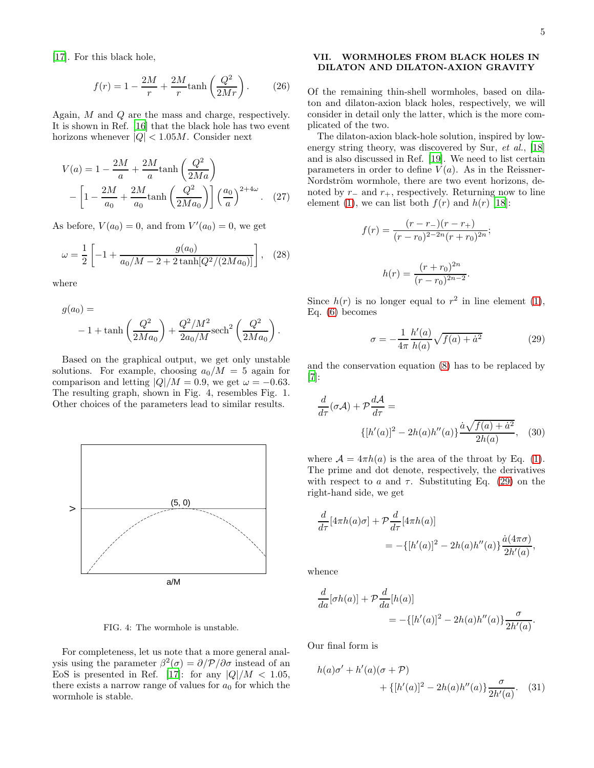[\[17\]](#page-6-3). For this black hole,

$$
f(r) = 1 - \frac{2M}{r} + \frac{2M}{r} \tanh\left(\frac{Q^2}{2Mr}\right). \tag{26}
$$

Again, M and Q are the mass and charge, respectively. It is shown in Ref. [\[16\]](#page-6-2) that the black hole has two event horizons whenever  $|Q| < 1.05M$ . Consider next

$$
V(a) = 1 - \frac{2M}{a} + \frac{2M}{a} \tanh\left(\frac{Q^2}{2Ma}\right)
$$

$$
- \left[1 - \frac{2M}{a_0} + \frac{2M}{a_0} \tanh\left(\frac{Q^2}{2Ma_0}\right)\right] \left(\frac{a_0}{a}\right)^{2+4\omega}.
$$
 (27)

As before,  $V(a_0) = 0$ , and from  $V'(a_0) = 0$ , we get

$$
\omega = \frac{1}{2} \left[ -1 + \frac{g(a_0)}{a_0/M - 2 + 2 \tanh[Q^2/(2Ma_0)]} \right], \quad (28)
$$

where

$$
g(a_0) =
$$
  
- 1 + tanh $\left(\frac{Q^2}{2Ma_0}\right) + \frac{Q^2/M^2}{2a_0/M} \text{sech}^2\left(\frac{Q^2}{2Ma_0}\right).$ 

Based on the graphical output, we get only unstable solutions. For example, choosing  $a_0/M = 5$  again for comparison and letting  $|Q|/M = 0.9$ , we get  $\omega = -0.63$ . The resulting graph, shown in Fig. 4, resembles Fig. 1. Other choices of the parameters lead to similar results.



FIG. 4: The wormhole is unstable.

For completeness, let us note that a more general analysis using the parameter  $\beta^2(\sigma) = \partial/\mathcal{P}/\partial \sigma$  instead of an EoS is presented in Ref. [\[17\]](#page-6-3): for any  $|Q|/M < 1.05$ , there exists a narrow range of values for  $a_0$  for which the wormhole is stable.

## VII. WORMHOLES FROM BLACK HOLES IN DILATON AND DILATON-AXION GRAVITY

Of the remaining thin-shell wormholes, based on dilaton and dilaton-axion black holes, respectively, we will consider in detail only the latter, which is the more complicated of the two.

The dilaton-axion black-hole solution, inspired by low-energy string theory, was discovered by Sur, et al., [\[18](#page-6-4)] and is also discussed in Ref. [\[19](#page-6-5)]. We need to list certain parameters in order to define  $V(a)$ . As in the Reissner-Nordström wormhole, there are two event horizons, denoted by  $r_-\,$  and  $r_+$ , respectively. Returning now to line element [\(1\)](#page-0-1), we can list both  $f(r)$  and  $h(r)$  [\[18](#page-6-4)]:

$$
f(r) = \frac{(r - r_{-})(r - r_{+})}{(r - r_{0})^{2 - 2n}(r + r_{0})^{2n}};
$$

$$
h(r) = \frac{(r + r_{0})^{2n}}{(r - r_{0})^{2n - 2}}.
$$

Since  $h(r)$  is no longer equal to  $r^2$  in line element [\(1\)](#page-0-1), Eq. [\(6\)](#page-1-0) becomes

<span id="page-4-0"></span>
$$
\sigma = -\frac{1}{4\pi} \frac{h'(a)}{h(a)} \sqrt{f(a) + \dot{a}^2} \tag{29}
$$

and the conservation equation [\(8\)](#page-1-2) has to be replaced by [\[7\]](#page-5-6):

$$
\frac{d}{d\tau}(\sigma \mathcal{A}) + \mathcal{P} \frac{d\mathcal{A}}{d\tau} =
$$
\n
$$
\{ [h'(a)]^2 - 2h(a)h''(a) \} \frac{\dot{a}\sqrt{f(a) + \dot{a}^2}}{2h(a)}, \quad (30)
$$

where  $\mathcal{A} = 4\pi h(a)$  is the area of the throat by Eq. [\(1\)](#page-0-1). The prime and dot denote, respectively, the derivatives with respect to a and  $\tau$ . Substituting Eq. [\(29\)](#page-4-0) on the right-hand side, we get

$$
\frac{d}{d\tau}[4\pi h(a)\sigma] + \mathcal{P}\frac{d}{d\tau}[4\pi h(a)]
$$
  
= -{[h'(a)]<sup>2</sup> - 2h(a)h''(a)} $\frac{\dot{a}(4\pi\sigma)}{2h'(a)},$ 

whence

$$
\frac{d}{da}[\sigma h(a)] + \mathcal{P}\frac{d}{da}[h(a)]
$$
  
= -{[h'(a)]<sup>2</sup> - 2h(a)h''(a)} $\frac{\sigma}{2h'(a)}$ .

Our final form is

$$
h(a)\sigma' + h'(a)(\sigma + P) + \{ [h'(a)]^2 - 2h(a)h''(a) \} \frac{\sigma}{2h'(a)}.
$$
 (31)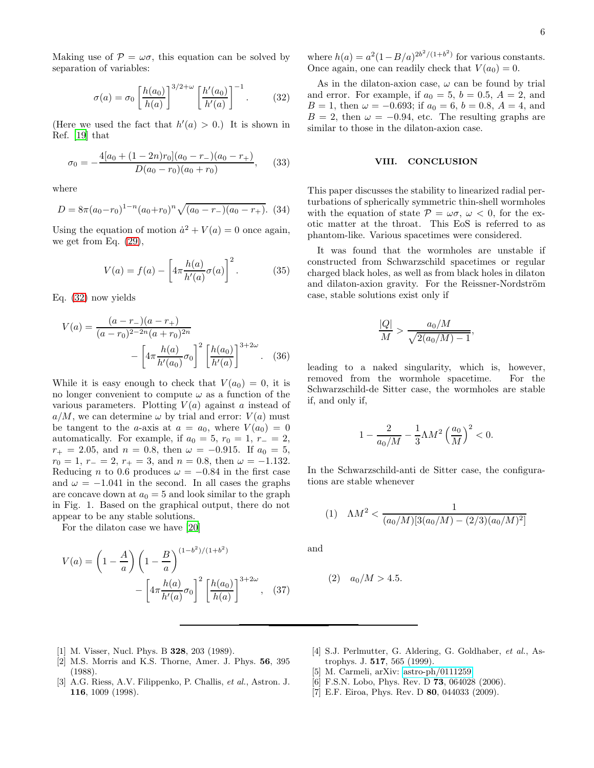Making use of  $P = \omega \sigma$ , this equation can be solved by separation of variables:

<span id="page-5-7"></span>
$$
\sigma(a) = \sigma_0 \left[ \frac{h(a_0)}{h(a)} \right]^{3/2 + \omega} \left[ \frac{h'(a_0)}{h'(a)} \right]^{-1}.
$$
 (32)

(Here we used the fact that  $h'(a) > 0$ .) It is shown in Ref. [\[19\]](#page-6-5) that

$$
\sigma_0 = -\frac{4[a_0 + (1 - 2n)r_0](a_0 - r_-)(a_0 - r_+)}{D(a_0 - r_0)(a_0 + r_0)},\qquad(33)
$$

where

$$
D = 8\pi (a_0 - r_0)^{1-n} (a_0 + r_0)^n \sqrt{(a_0 - r_-)(a_0 - r_+)}.
$$
 (34)

Using the equation of motion  $\dot{a}^2 + V(a) = 0$  once again, we get from Eq. [\(29\)](#page-4-0),

$$
V(a) = f(a) - \left[4\pi \frac{h(a)}{h'(a)} \sigma(a)\right]^2.
$$
 (35)

Eq. [\(32\)](#page-5-7) now yields

$$
V(a) = \frac{(a - r_{-})(a - r_{+})}{(a - r_{0})^{2 - 2n}(a + r_{0})^{2n}} - \left[4\pi \frac{h(a)}{h'(a_{0})} \sigma_{0}\right]^{2} \left[\frac{h(a_{0})}{h'(a)}\right]^{3 + 2\omega}.
$$
 (36)

While it is easy enough to check that  $V(a_0) = 0$ , it is no longer convenient to compute  $\omega$  as a function of the various parameters. Plotting  $V(a)$  against a instead of  $a/M$ , we can determine  $\omega$  by trial and error:  $V(a)$  must be tangent to the a-axis at  $a = a_0$ , where  $V(a_0) = 0$ automatically. For example, if  $a_0 = 5$ ,  $r_0 = 1$ ,  $r_ - = 2$ ,  $r_{+} = 2.05$ , and  $n = 0.8$ , then  $\omega = -0.915$ . If  $a_0 = 5$ ,  $r_0 = 1, r_- = 2, r_+ = 3,$  and  $n = 0.8$ , then  $\omega = -1.132$ . Reducing n to 0.6 produces  $\omega = -0.84$  in the first case and  $\omega = -1.041$  in the second. In all cases the graphs are concave down at  $a_0 = 5$  and look similar to the graph in Fig. 1. Based on the graphical output, there do not appear to be any stable solutions.

For the dilaton case we have [\[20](#page-6-6)]

$$
V(a) = \left(1 - \frac{A}{a}\right) \left(1 - \frac{B}{a}\right)^{(1 - b^2)/(1 + b^2)} - \left[4\pi \frac{h(a)}{h'(a)} \sigma_0\right]^2 \left[\frac{h(a_0)}{h(a)}\right]^{3 + 2\omega}, \quad (37)
$$

where  $h(a) = a^2(1 - B/a)^{2b^2/(1+b^2)}$  for various constants. Once again, one can readily check that  $V(a_0) = 0$ .

As in the dilaton-axion case,  $\omega$  can be found by trial and error. For example, if  $a_0 = 5$ ,  $b = 0.5$ ,  $A = 2$ , and  $B = 1$ , then  $\omega = -0.693$ ; if  $a_0 = 6$ ,  $b = 0.8$ ,  $A = 4$ , and  $B = 2$ , then  $\omega = -0.94$ , etc. The resulting graphs are similar to those in the dilaton-axion case.

### VIII. CONCLUSION

This paper discusses the stability to linearized radial perturbations of spherically symmetric thin-shell wormholes with the equation of state  $P = \omega \sigma$ ,  $\omega < 0$ , for the exotic matter at the throat. This EoS is referred to as phantom-like. Various spacetimes were considered.

It was found that the wormholes are unstable if constructed from Schwarzschild spacetimes or regular charged black holes, as well as from black holes in dilaton and dilaton-axion gravity. For the Reissner-Nordström case, stable solutions exist only if

$$
\frac{|Q|}{M} > \frac{a_0/M}{\sqrt{2(a_0/M) - 1}},
$$

leading to a naked singularity, which is, however, removed from the wormhole spacetime. For the Schwarzschild-de Sitter case, the wormholes are stable if, and only if,

$$
1 - \frac{2}{a_0/M} - \frac{1}{3}\Lambda M^2 \left(\frac{a_0}{M}\right)^2 < 0.
$$

In the Schwarzschild-anti de Sitter case, the configurations are stable whenever

(1) 
$$
\Lambda M^2 < \frac{1}{(a_0/M)[3(a_0/M) - (2/3)(a_0/M)^2]}
$$

and

$$
(2) \quad a_0/M > 4.5.
$$

- <span id="page-5-0"></span>[1] M. Visser, Nucl. Phys. B 328, 203 (1989).
- <span id="page-5-1"></span>[2] M.S. Morris and K.S. Thorne, Amer. J. Phys. 56, 395 (1988).
- <span id="page-5-2"></span>[3] A.G. Riess, A.V. Filippenko, P. Challis, et al., Astron. J. 116, 1009 (1998).
- <span id="page-5-3"></span>[4] S.J. Perlmutter, G. Aldering, G. Goldhaber, et al., Astrophys. J. 517, 565 (1999).
- <span id="page-5-4"></span>M. Carmeli, arXiv: [astro-ph/0111259.](http://arxiv.org/abs/astro-ph/0111259)
- <span id="page-5-5"></span>[6] F.S.N. Lobo, Phys. Rev. D **73**, 064028 (2006).
- <span id="page-5-6"></span>[7] E.F. Eiroa, Phys. Rev. D 80, 044033 (2009).